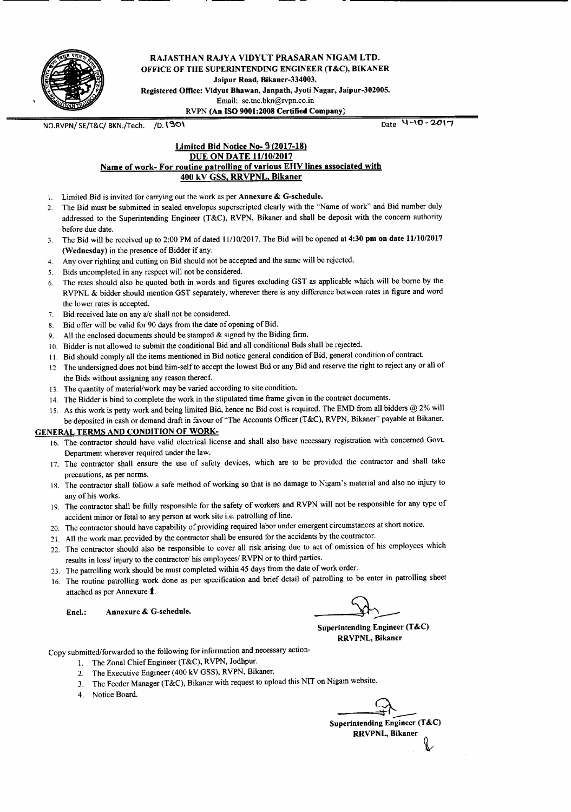

RAJASTHAN RAJYA VIDYUT PRASARAN NIGAM LTD. OFFICE OF THE SUPERINTENDING ENGINEER (T&C), BIKANER Jaipur Road, Bikaner-334003. Registered Office: Vidyut Bhawan, Janpath, Jyoti Nagar, Jaipur-302005. Email: se.tnc.bkn@rvpn.co.in RVPN (An ISO 9001:2008 Certified Company)

NO.RVPN/SE/T&C/BKN./Tech. /D. 1901 MO.RVPN/SE/T&C/ Date '4~10 r 2017

#### Limited Bid Notice No- 3 (2017-18) DUE ON DATE *11/10/2017* Name of work- For routine patrolling of various EHV lines associated with 400 kV GSS, RRVPNL, Bikaner

- 1. Limited Bid is invited for carrying out the work as per Annexure & G-schedule.
- 2. The Bid must be submitted in sealed envelopes superscripted clearly with the "Name of work" and Bid number duly addressed to the Superintending Engineer (T&C), RVPN, Bikaner and shall be deposit with the concern authority before due date.
- 3. The Bid will be received up to 2:00 PM of dated 11110/2017.The Bid will be opened at 4:30 pm on date 11/10/2017 (Wednesday) in the presence of Bidder if any.
- 4. Any over righting and cutting on Bid should not be accepted and the same will be rejected.
- 5. Bids uncompleted in any respect will not be considered.
- 6. The rates should also be quoted both in words and figures excluding GST as applicable which will be borne by the RVPNL & bidder should mention GST separately, wherever there is any difference between rates in figure and word the lower rates is accepted.
- 7. Bid received late on any alc shall not be considered.
- 8. Bid offer will be valid for 90 days from the date of opening of Bid.
- 9. All the enclosed documents should be stamped & signed by the Biding firm.
- 10. Bidder is not allowed to submit the conditional Bid and all conditional Bids shall be rejected.
- 11. Bid should comply all the items mentioned in Bid notice general condition of Bid, general condition of contract.
- 12. The undersigned does not bind him-self to accept the lowest Bid or any Bid and reserve the right to reject any or all of the Bids without assigning any reason thereof.
- 13. The quantity of material/work may be varied according to site condition.
- 14. The Bidder is bind to complete the work in the stipulated time frame given in the contract documents.
- 15. As this work is petty work and being limited Bid, hence no Bid cost is required. The EMD from all bidders @ 2% will be deposited in cash or demand draft in favour of 'The Accounts Officer (T&C), RVPN, Bikaner" payable at Bikaner.

#### GENERAL TERMS AND CONDITION OF WORK-

- 16. The contractor should have valid electrical license and shall also have necessary registration with concerned Govt. Department wherever required under the law.
- 17. The contractor shall ensure the use of safety devices, which are to be provided the contractor and shall take precautions, as per norms.
- 18. The contractor shall follow a safe method of working so that is no damage to Nigam's material and also no injury to any of his works.
- 19. The contractor shall be fully responsible for the safety of workers and RVPN will not be responsible for any type of accident minor or fetal to any person at work site i.e. patrolling of line.
- 20. The contractor should have capability of providing required labor under emergent circumstances at short notice.
- 21. All the work man provided by the contractor shall be ensured for the accidents by the contractor.
- 22. The contractor should also be responsible to cover all risk arising due to act of omission of his employees which results in loss/ injury to the contractor/ his employees/ RVPN or to third parties.
- 23. The patrolling work should be must completed within 45 days from the date of work order.
- 16. The routine patrolling work done as per specification and brief detail of patrolling to be enter in patrolling sheet attached as per Annexure-1. attached as per Annexure-1.<br>
Encl.: Annexure & G-schedule. Superintending Engineer (T&C)<br>
Superintending Engineer (T&C)

Superintending Engineer (T&C) RRVPNL, Bikaner

Copy submitted/forwarded to the following for information and necessary action-

- I. The Zonal Chief Engineer (T&C), RVPN, Jodhpur.
- 2. The Executive Engineer (400 kV GSS), RVPN, Bikaner.
- 3. The Feeder Manager (T&C), Bikaner with request to upload this NIT on Nigam website.
- 4. Notice Board.

Superintending Engineer (T&C) RRVPNL, Bikaner ~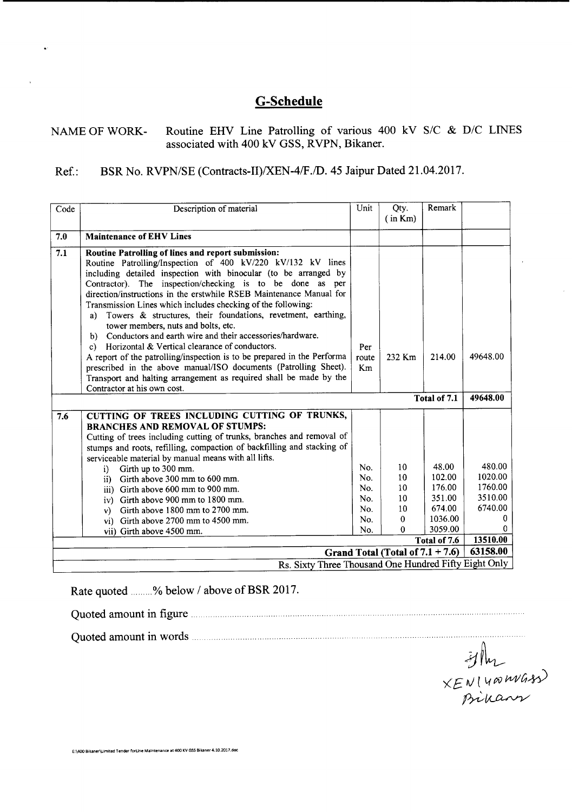# **G-Schedule**

# NAME OF WORK- Routine EHV Line Patrolling of various 400 kV S/C & D/C LINES associated with 400 kV GSS, RVPN, Bikaner.

# Ref.: BSR No. RVPN/SE (Contracts-II)/XEN-4/F./D. 45 Jaipur Dated 21.04.2017.

| Code | Description of material                                                                                                                                                                                                                                                                                                                                                                                                                                                                                                                                                                                                                                                                                                                                                                                                                                                              | Unit                                          | Qty.<br>(in Km)                                                                               | Remark                                                                              |                                                                          |  |  |  |  |  |  |  |  |
|------|--------------------------------------------------------------------------------------------------------------------------------------------------------------------------------------------------------------------------------------------------------------------------------------------------------------------------------------------------------------------------------------------------------------------------------------------------------------------------------------------------------------------------------------------------------------------------------------------------------------------------------------------------------------------------------------------------------------------------------------------------------------------------------------------------------------------------------------------------------------------------------------|-----------------------------------------------|-----------------------------------------------------------------------------------------------|-------------------------------------------------------------------------------------|--------------------------------------------------------------------------|--|--|--|--|--|--|--|--|
| 7.0  | <b>Maintenance of EHV Lines</b>                                                                                                                                                                                                                                                                                                                                                                                                                                                                                                                                                                                                                                                                                                                                                                                                                                                      |                                               |                                                                                               |                                                                                     |                                                                          |  |  |  |  |  |  |  |  |
| 7.1  | Routine Patrolling of lines and report submission:<br>Routine Patrolling/Inspection of 400 kV/220 kV/132 kV lines<br>including detailed inspection with binocular (to be arranged by<br>Contractor). The inspection/checking is to be done as per<br>direction/instructions in the erstwhile RSEB Maintenance Manual for<br>Transmission Lines which includes checking of the following.<br>Towers & structures, their foundations, revetment, earthing,<br>a)<br>tower members, nuts and bolts, etc.<br>Conductors and earth wire and their accessories/hardware.<br>b)<br>Horizontal & Vertical clearance of conductors.<br>c)<br>A report of the patrolling/inspection is to be prepared in the Performa<br>prescribed in the above manual/ISO documents (Patrolling Sheet).<br>Transport and halting arrangement as required shall be made by the<br>Contractor at his own cost. | Per<br>route<br>Km                            | 232 Km                                                                                        | 214.00                                                                              | 49648.00                                                                 |  |  |  |  |  |  |  |  |
|      |                                                                                                                                                                                                                                                                                                                                                                                                                                                                                                                                                                                                                                                                                                                                                                                                                                                                                      |                                               | Total of 7.1                                                                                  | 49648.00                                                                            |                                                                          |  |  |  |  |  |  |  |  |
| 7.6  | CUTTING OF TREES INCLUDING CUTTING OF TRUNKS,<br><b>BRANCHES AND REMOVAL OF STUMPS:</b><br>Cutting of trees including cutting of trunks, branches and removal of<br>stumps and roots, refilling, compaction of backfilling and stacking of<br>serviceable material by manual means with all lifts.<br>Girth up to 300 mm.<br>i)<br>Girth above 300 mm to 600 mm.<br>$\mathbf{ii}$<br>iii) Girth above 600 mm to 900 mm.<br>iv) Girth above 900 mm to 1800 mm.<br>Girth above 1800 mm to 2700 mm.<br>v)<br>vi) Girth above 2700 mm to 4500 mm.<br>vii) Girth above 4500 mm.                                                                                                                                                                                                                                                                                                           | No.<br>No.<br>No.<br>No.<br>No.<br>No.<br>No. | 10<br>10 <sup>°</sup><br>10<br>10 <sup>°</sup><br>10 <sup>°</sup><br>$\Omega$<br>$\mathbf{0}$ | 48.00<br>102.00<br>176.00<br>351.00<br>674.00<br>1036.00<br>3059.00<br>Total of 7.6 | 480.00<br>1020.00<br>1760.00<br>3510.00<br>6740.00<br>0<br>0<br>13510.00 |  |  |  |  |  |  |  |  |
|      | 63158.00<br>Grand Total (Total of $7.1 + 7.6$ )                                                                                                                                                                                                                                                                                                                                                                                                                                                                                                                                                                                                                                                                                                                                                                                                                                      |                                               |                                                                                               |                                                                                     |                                                                          |  |  |  |  |  |  |  |  |
|      | Rs. Sixty Three Thousand One Hundred Fifty Eight Only                                                                                                                                                                                                                                                                                                                                                                                                                                                                                                                                                                                                                                                                                                                                                                                                                                |                                               |                                                                                               |                                                                                     |                                                                          |  |  |  |  |  |  |  |  |

Rate quoted ........% below / above of BSR 2017.

Quoted amount in figure .

Quoted amount in words.

.<br>Hm  $\times$  $F$   $N$ <sup>1</sup> 4 $\infty$   $\mu\nu$ *G* $\cdot$ *x* ~~

E:\400 Bikaner\Limited Tender forLine Maintenance at 400 KV GSS Bikaner 4.10.2017.doc